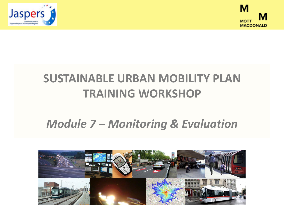



## **SUSTAINABLE URBAN MOBILITY PLAN TRAINING WORKSHOP**

### *Module 7 – Monitoring & Evaluation*

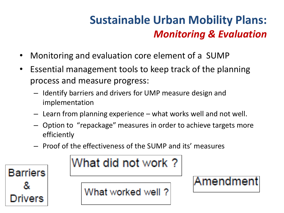- Monitoring and evaluation core element of a SUMP
- Essential management tools to keep track of the planning process and measure progress:
	- Identify barriers and drivers for UMP measure design and implementation
	- Learn from planning experience what works well and not well.
	- Option to "repackage" measures in order to achieve targets more efficiently
	- Proof of the effectiveness of the SUMP and its' measures



# What did not work?

What worked well?

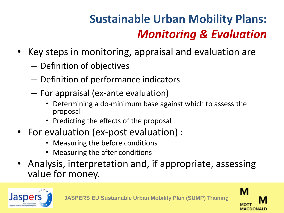- Key steps in monitoring, appraisal and evaluation are
	- Definition of objectives
	- Definition of performance indicators
	- For appraisal (ex-ante evaluation)
		- Determining a do-minimum base against which to assess the proposal
		- Predicting the effects of the proposal
- For evaluation (ex-post evaluation) :
	- Measuring the before conditions
	- Measuring the after conditions
- Analysis, interpretation and, if appropriate, assessing value for money.



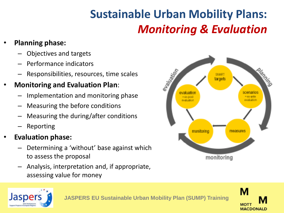#### • **Planning phase:**

- Objectives and targets
- Performance indicators
- Responsibilities, resources, time scales

#### • **Monitoring and Evaluation Plan**:

- Implementation and monitoring phase
- Measuring the before conditions
- Measuring the during/after conditions
- Reporting

#### • **Evaluation phase:**

- Determining a 'without' base against which to assess the proposal
- Analysis, interpretation and, if appropriate, assessing value for money





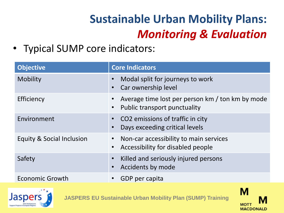• Typical SUMP core indicators:

| <b>Objective</b>          | <b>Core Indicators</b>                                                           |
|---------------------------|----------------------------------------------------------------------------------|
| Mobility                  | Modal split for journeys to work<br>Car ownership level                          |
| Efficiency                | Average time lost per person km / ton km by mode<br>Public transport punctuality |
| Environment               | • CO2 emissions of traffic in city<br>Days exceeding critical levels             |
| Equity & Social Inclusion | Non-car accessibility to main services<br>Accessibility for disabled people      |
| Safety                    | Killed and seriously injured persons<br>Accidents by mode                        |
| <b>Economic Growth</b>    | GDP per capita                                                                   |



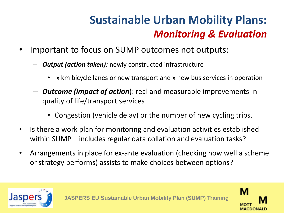- Important to focus on SUMP outcomes not outputs:
	- *Output (action taken):* newly constructed infrastructure
		- x km bicycle lanes or new transport and x new bus services in operation
	- *Outcome (impact of action*): real and measurable improvements in quality of life/transport services
		- Congestion (vehicle delay) or the number of new cycling trips.
- Is there a work plan for monitoring and evaluation activities established within SUMP – includes regular data collation and evaluation tasks?
- Arrangements in place for ex-ante evaluation (checking how well a scheme or strategy performs) assists to make choices between options?



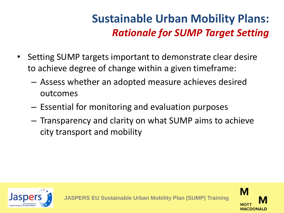## **Sustainable Urban Mobility Plans:** *Rationale for SUMP Target Setting*

- Setting SUMP targets important to demonstrate clear desire to achieve degree of change within a given timeframe:
	- Assess whether an adopted measure achieves desired outcomes
	- Essential for monitoring and evaluation purposes
	- Transparency and clarity on what SUMP aims to achieve city transport and mobility



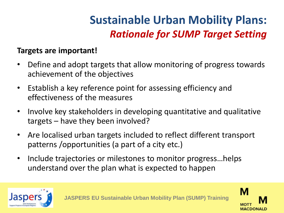## **Sustainable Urban Mobility Plans:** *Rationale for SUMP Target Setting*

#### **Targets are important!**

- Define and adopt targets that allow monitoring of progress towards achievement of the objectives
- Establish a key reference point for assessing efficiency and effectiveness of the measures
- Involve key stakeholders in developing quantitative and qualitative targets – have they been involved?
- Are localised urban targets included to reflect different transport patterns /opportunities (a part of a city etc.)
- Include trajectories or milestones to monitor progress…helps understand over the plan what is expected to happen



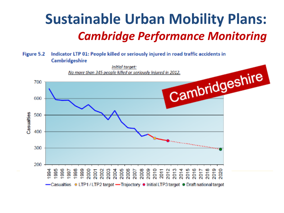# **Sustainable Urban Mobility Plans:** *Cambridge Performance Monitoring*

#### Figure 5.2 Indicator LTP 01: People killed or seriously injured in road traffic accidents in Cambridgeshire

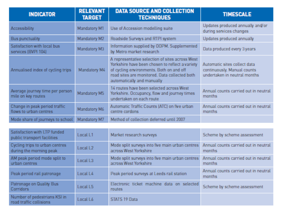| <b>INDICATOR</b>                                        | <b>RELEVANT</b><br><b>TARGET</b> | <b>DATA SOURCE AND COLLECTION</b><br><b>TECHNIQUES</b>                                                                                                                                                                        | <b>TIMESCALE</b>                                                                            |
|---------------------------------------------------------|----------------------------------|-------------------------------------------------------------------------------------------------------------------------------------------------------------------------------------------------------------------------------|---------------------------------------------------------------------------------------------|
| <b>Accessibility</b>                                    | Mandatory M1                     | Use of Accession modelling suite                                                                                                                                                                                              | Updates produced annually and/or<br>during services changes                                 |
| <b>Bus punctuality</b>                                  | Mandatory M2                     | Roadside Surveys and RTPI system                                                                                                                                                                                              | Updates produced annually                                                                   |
| Satisfaction with local bus<br>services (BVPI 104)      | Mandatory M3                     | Information supplied by ODPM. Supplemented<br>by Metro market research                                                                                                                                                        | Data produced every 3 years                                                                 |
| Annualised index of cycling trips                       | Mandatory M4                     | A representative selection of sites across West<br>Yorkshire have been chosen to reflect a variety<br>of cycling environments. Both on and off<br>road sites are monitored. Data collected both<br>automatically and manually | Automatic sites collect data<br>continuously. Manual counts<br>undertaken in neutral months |
| Average journey time per person<br>mile on key routes   | Mandatory M5                     | 14 routes have been selected across West<br>Yorkshire. Occupancy, flow and journey times<br>undertaken on each route                                                                                                          | Annual counts carried out in neutral<br>months.                                             |
| Change in peak period traffic<br>flows to urban centres | Mandatory M6                     | Automatic Traffic Counts (ATC) on five urban<br>centre cordons                                                                                                                                                                | Annual counts carried out in neutral<br>months.                                             |
| Mode share of journeys to school                        | Mandatory M7                     | Method of collection deferred until 2007                                                                                                                                                                                      |                                                                                             |

| Satisfaction with LTP funded<br>public transport facilities | Local L1             | Market research surveys                                                  | Scheme by scheme assessment                     |
|-------------------------------------------------------------|----------------------|--------------------------------------------------------------------------|-------------------------------------------------|
| Cycling trips to urban centres<br>during the morning peak   | Local L <sub>2</sub> | Mode split surveys into five main urban centres<br>across West Yorkshire | Annual counts carried out in neutral<br>months  |
| AM peak period mode split to<br>urban centres               | Local L3             | Mode split surveys into five main urban centres<br>across West Yorkshire | Annual counts carried out in neutral<br>months. |
| Peak period rail patronage                                  | Local L4             | Peak period surveys at Leeds rail station                                | Annual counts carried out in neutral<br>months. |
| Patronage on Quality Bus<br><b>Corridors</b>                | Local L5             | Electronic ticket machine data on selected<br>routes.                    | Scheme by scheme assessment                     |
| Number of pedestrians KSI in<br>road traffic collisions     | Local L6             | STATS 19 Data                                                            |                                                 |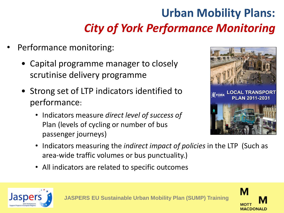# **Urban Mobility Plans:** *City of York Performance Monitoring*

- Performance monitoring:
	- Capital programme manager to closely scrutinise delivery programme
	- Strong set of LTP indicators identified to performance:
		- Indicators measure *direct level of success of* Plan (levels of cycling or number of bus passenger journeys)



- Indicators measuring the *indirect impact of policies* in the LTP (Such as area-wide traffic volumes or bus punctuality.)
- All indicators are related to specific outcomes



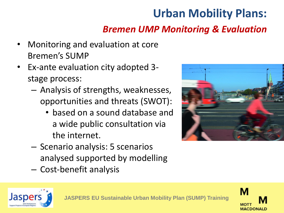## **Urban Mobility Plans:**

#### *Bremen UMP Monitoring & Evaluation*

- Monitoring and evaluation at core Bremen's SUMP
- Ex-ante evaluation city adopted 3 stage process:
	- Analysis of strengths, weaknesses, opportunities and threats (SWOT):
		- based on a sound database and a wide public consultation via the internet.
	- Scenario analysis: 5 scenarios analysed supported by modelling
	- Cost-benefit analysis